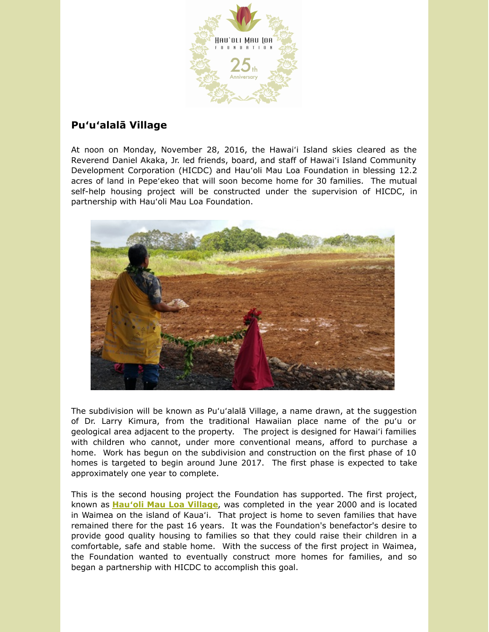

## **Puʻuʻalalā Village**

At noon on Monday, November 28, 2016, the Hawaiʻi Island skies cleared as the Reverend Daniel Akaka, Jr. led friends, board, and staff of Hawaiʻi Island Community Development Corporation (HICDC) and Hauʻoli Mau Loa Foundation in blessing 12.2 acres of land in Pepeʻekeo that will soon become home for 30 families. The mutual self-help housing project will be constructed under the supervision of HICDC, in partnership with Hauʻoli Mau Loa Foundation.



The subdivision will be known as Puʻuʻalalā Village, a name drawn, at the suggestion of Dr. Larry Kimura, from the traditional Hawaiian place name of the puʻu or geological area adjacent to the property. The project is designed for Hawaiʻi families with children who cannot, under more conventional means, afford to purchase a home. Work has begun on the subdivision and construction on the first phase of 10 homes is targeted to begin around June 2017. The first phase is expected to take approximately one year to complete.

This is the second housing project the Foundation has supported. The first project, known as **Hauʻoli Mau Loa [Village](http://hauolimauloa.org/program/housing-projects/?utm_source=11.+Pu%27u%27alala+Village+%26+GAships+-+Dec+2016&utm_campaign=Pu%27u%27alala+Village+%26+Hau%27oli+Mau+Loa+Foundation+Graduate+Assistantships+Available&utm_medium=email)**, was completed in the year 2000 and is located in Waimea on the island of Kauaʻi. That project is home to seven families that have remained there for the past 16 years. It was the Foundation's benefactor's desire to provide good quality housing to families so that they could raise their children in a comfortable, safe and stable home. With the success of the first project in Waimea, the Foundation wanted to eventually construct more homes for families, and so began a partnership with HICDC to accomplish this goal.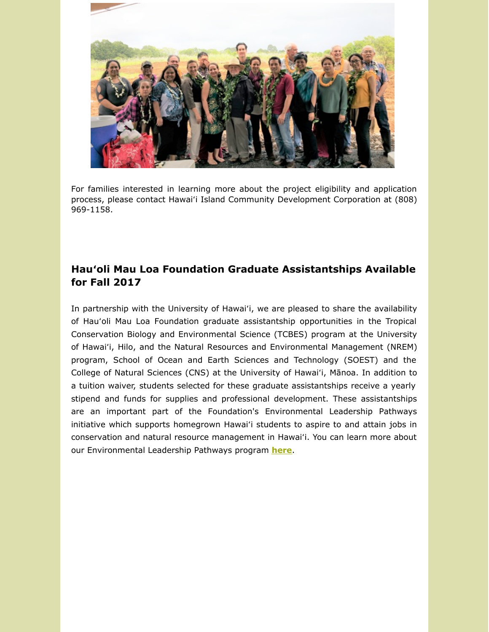

For families interested in learning more about the project eligibility and application process, please contact Hawaiʻi Island Community Development Corporation at (808) 969-1158.

## **Hauʻoli Mau Loa Foundation Graduate Assistantships Available for Fall 2017**

In partnership with the University of Hawaiʻi, we are pleased to share the availability of Hauʻoli Mau Loa Foundation graduate assistantship opportunities in the Tropical Conservation Biology and Environmental Science (TCBES) program at the University of Hawaiʻi, Hilo, and the Natural Resources and Environmental Management (NREM) program, School of Ocean and Earth Sciences and Technology (SOEST) and the College of Natural Sciences (CNS) at the University of Hawaiʻi, Mānoa. In addition to a tuition waiver, students selected for these graduate assistantships receive a yearly stipend and funds for supplies and professional development. These assistantships are an important part of the Foundation's Environmental Leadership Pathways initiative which supports homegrown Hawaiʻi students to aspire to and attain jobs in conservation and natural resource management in Hawaiʻi. You can learn more about our Environmental Leadership Pathways program **[here](http://hauolimauloa.org/program/environment/?utm_source=11.+Pu%27u%27alala+Village+%26+GAships+-+Dec+2016&utm_campaign=Pu%27u%27alala+Village+%26+Hau%27oli+Mau+Loa+Foundation+Graduate+Assistantships+Available&utm_medium=email)**.